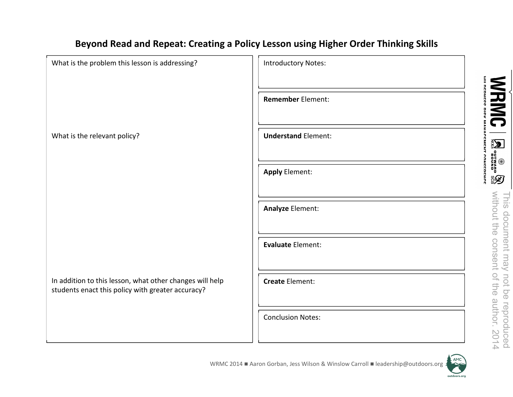## Beyond Read and Repeat: Creating a Policy Lesson using Higher Order Thinking Skills

| What is the problem this lesson is addressing?                                                                | <b>Introductory Notes:</b> |
|---------------------------------------------------------------------------------------------------------------|----------------------------|
|                                                                                                               |                            |
|                                                                                                               | <b>Remember Element:</b>   |
|                                                                                                               |                            |
| What is the relevant policy?                                                                                  | <b>Understand Element:</b> |
|                                                                                                               |                            |
|                                                                                                               | <b>Apply Element:</b>      |
|                                                                                                               |                            |
|                                                                                                               | Analyze Element:           |
|                                                                                                               |                            |
|                                                                                                               | Evaluate Element:          |
|                                                                                                               |                            |
| In addition to this lesson, what other changes will help<br>students enact this policy with greater accuracy? | <b>Create Element:</b>     |
|                                                                                                               |                            |
|                                                                                                               | <b>Conclusion Notes:</b>   |
|                                                                                                               |                            |

AMC

outdoors.org